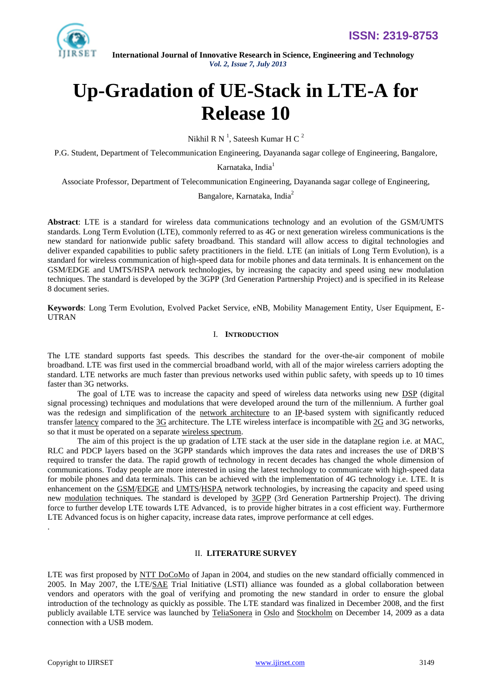

# **Up-Gradation of UE-Stack in LTE-A for Release 10**

Nikhil R N<sup>1</sup>, Sateesh Kumar H C<sup>2</sup>

P.G. Student, Department of Telecommunication Engineering, Dayananda sagar college of Engineering, Bangalore,

Karnataka, India<sup>1</sup>

Associate Professor, Department of Telecommunication Engineering, Dayananda sagar college of Engineering,

Bangalore, Karnataka, India<sup>2</sup>

**Abstract**: LTE is a standard for wireless data communications technology and an evolution of the GSM/UMTS standards. Long Term Evolution (LTE), commonly referred to as 4G or next generation wireless communications is the new standard for nationwide public safety broadband. This standard will allow access to digital technologies and deliver expanded capabilities to public safety practitioners in the field. LTE (an initials of Long Term Evolution), is a standard for wireless communication of high-speed data for mobile phones and data terminals. It is enhancement on the GSM/EDGE and UMTS/HSPA network technologies, by increasing the capacity and speed using new modulation techniques. The standard is developed by the 3GPP (3rd Generation Partnership Project) and is specified in its Release 8 document series.

**Keywords**: Long Term Evolution, Evolved Packet Service, eNB, Mobility Management Entity, User Equipment, E-UTRAN

## I. **INTRODUCTION**

The LTE standard supports fast speeds. This describes the standard for the over-the-air component of mobile broadband. LTE was first used in the commercial broadband world, with all of the major wireless carriers adopting the standard. LTE networks are much faster than previous networks used within public safety, with speeds up to 10 times faster than 3G networks.

The goal of LTE was to increase the capacity and speed of wireless data networks using new [DSP](http://en.wikipedia.org/wiki/Digital_signal_processing) (digital signal processing) techniques and modulations that were developed around the turn of the millennium. A further goal was the redesign and simplification of the [network architecture](http://en.wikipedia.org/wiki/Network_architecture) to an [IP-](http://en.wikipedia.org/wiki/Internet_Protocol)based system with significantly reduced transfer [latency](http://en.wikipedia.org/wiki/Latency_%28engineering%29) compared to the [3G](http://en.wikipedia.org/wiki/3G) architecture. The LTE wireless interface is incompatible with [2G](http://en.wikipedia.org/wiki/2G) and 3G networks, so that it must be operated on a separate [wireless spectrum.](http://en.wikipedia.org/wiki/Wireless_spectrum)

The aim of this project is the up gradation of LTE stack at the user side in the dataplane region i.e. at MAC, RLC and PDCP layers based on the 3GPP standards which improves the data rates and increases the use of DRB'S required to transfer the data. The rapid growth of technology in recent decades has changed the whole dimension of communications. Today people are more interested in using the latest technology to communicate with high-speed data for mobile phones and data terminals. This can be achieved with the implementation of 4G technology i.e. LTE. It is enhancement on the [GSM/](http://en.wikipedia.org/wiki/GSM)[EDGE](http://en.wikipedia.org/wiki/Enhanced_Data_Rates_for_GSM_Evolution) and [UMTS](http://en.wikipedia.org/wiki/Universal_Mobile_Telecommunications_System)[/HSPA](http://en.wikipedia.org/wiki/High_Speed_Packet_Access) network technologies, by increasing the capacity and speed using new [modulation](http://en.wikipedia.org/wiki/Modulation) techniques. The standard is developed by [3GPP](http://en.wikipedia.org/wiki/3GPP) (3rd Generation Partnership Project). The driving force to further develop LTE towards LTE Advanced, is to provide higher bitrates in a cost efficient way. Furthermore LTE Advanced focus is on higher capacity, increase data rates, improve performance at cell edges.

## II. **LITERATURE SURVEY**

LTE was first proposed by [NTT DoCoMo](http://en.wikipedia.org/wiki/NTT_DoCoMo) of Japan in 2004, and studies on the new standard officially commenced in 2005. In May 2007, the LTE[/SAE](http://en.wikipedia.org/wiki/System_Architecture_Evolution) Trial Initiative (LSTI) alliance was founded as a global collaboration between vendors and operators with the goal of verifying and promoting the new standard in order to ensure the global introduction of the technology as quickly as possible. The LTE standard was finalized in December 2008, and the first publicly available LTE service was launched by [TeliaSonera](http://en.wikipedia.org/wiki/TeliaSonera) in [Oslo](http://en.wikipedia.org/wiki/Oslo) and [Stockholm](http://en.wikipedia.org/wiki/Stockholm) on December 14, 2009 as a data connection with a USB modem.

.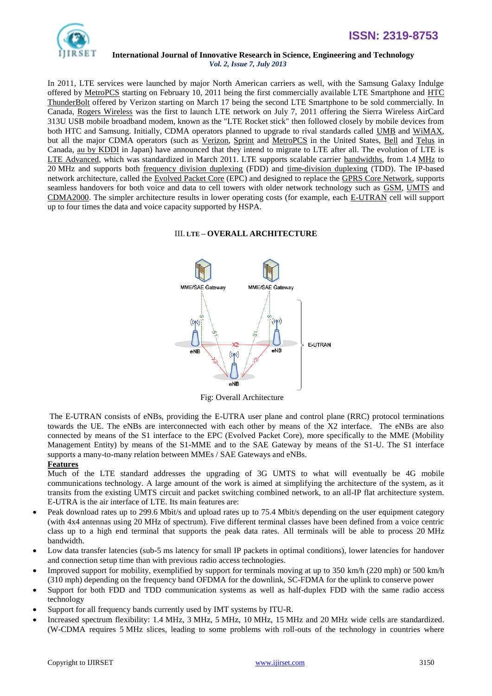

In 2011, LTE services were launched by major North American carriers as well, with the Samsung Galaxy Indulge offered by [MetroPCS](http://en.wikipedia.org/wiki/MetroPCS) starting on February 10, 2011 being the first commercially available LTE Smartphone and [HTC](http://en.wikipedia.org/wiki/HTC_ThunderBolt)  [ThunderBolt](http://en.wikipedia.org/wiki/HTC_ThunderBolt) offered by Verizon starting on March 17 being the second LTE Smartphone to be sold commercially. In Canada, [Rogers Wireless](http://en.wikipedia.org/wiki/Rogers_Wireless) was the first to launch LTE network on July 7, 2011 offering the Sierra Wireless AirCard 313U USB mobile broadband modem, known as the "LTE Rocket stick" then followed closely by mobile devices from both HTC and Samsung. Initially, CDMA operators planned to upgrade to rival standards called [UMB](http://en.wikipedia.org/wiki/Ultra_Mobile_Broadband) and [WiMAX,](http://en.wikipedia.org/wiki/WiMAX) but all the major CDMA operators (such as [Verizon,](http://en.wikipedia.org/wiki/Verizon_Wireless) [Sprint](http://en.wikipedia.org/wiki/Sprint_Nextel) and [MetroPCS](http://en.wikipedia.org/wiki/MetroPCS) in the United States, [Bell](http://en.wikipedia.org/wiki/Bell_Mobility) and [Telus](http://en.wikipedia.org/wiki/Telus_Mobility) in Canada, [au by KDDI](http://en.wikipedia.org/wiki/Au_%28mobile_phone_company%29) in Japan) have announced that they intend to migrate to LTE after all. The evolution of LTE is [LTE Advanced,](http://en.wikipedia.org/wiki/LTE_Advanced) which was standardized in March 2011. LTE supports scalable carrier [bandwidths,](http://en.wikipedia.org/wiki/Bandwidth_%28signal_processing%29) from 1.4 [MHz](http://en.wikipedia.org/wiki/MHz) to 20 MHz and supports both [frequency division duplexing](http://en.wikipedia.org/wiki/Frequency_division_duplexing) (FDD) and [time-division duplexing](http://en.wikipedia.org/wiki/Time-division_duplex) (TDD). The IP-based network architecture, called the [Evolved Packet Core](http://en.wikipedia.org/wiki/Evolved_Packet_Core) (EPC) and designed to replace the [GPRS Core Network,](http://en.wikipedia.org/wiki/GPRS_Core_Network) supports seamless handovers for both voice and data to cell towers with older network technology such as [GSM,](http://en.wikipedia.org/wiki/GSM) [UMTS](http://en.wikipedia.org/wiki/UMTS) and [CDMA2000.](http://en.wikipedia.org/wiki/CDMA2000) The simpler architecture results in lower operating costs (for example, each [E-UTRAN](http://en.wikipedia.org/wiki/E-UTRAN) cell will support up to four times the data and voice capacity supported by HSPA.

## III. **LTE – OVERALL ARCHITECTURE**



Fig: Overall Architecture

The E-UTRAN consists of eNBs, providing the E-UTRA user plane and control plane (RRC) protocol terminations towards the UE. The eNBs are interconnected with each other by means of the X2 interface. The eNBs are also connected by means of the S1 interface to the EPC (Evolved Packet Core), more specifically to the MME (Mobility Management Entity) by means of the S1-MME and to the SAE Gateway by means of the S1-U. The S1 interface supports a many-to-many relation between MMEs / SAE Gateways and eNBs.

## **Features**

Much of the LTE standard addresses the upgrading of 3G UMTS to what will eventually be [4G](http://en.wikipedia.org/wiki/4G) mobile communications technology. A large amount of the work is aimed at simplifying the architecture of the system, as it transits from the existing UMTS [circuit](http://en.wikipedia.org/wiki/Circuit_switching) and [packet switching](http://en.wikipedia.org/wiki/Packet_switching) combined network, to an all-IP flat architecture system. [E-UTRA](http://en.wikipedia.org/wiki/E-UTRA) is the air interface of LTE. Its main features are:

- Peak download rates up to 299.6 Mbit/s and upload rates up to 75.4 Mbit/s depending on the [user equipment category](http://en.wikipedia.org/wiki/E-UTRA#User_Equipment_.28UE.29_categories) (with 4x4 antennas using 20 MHz of spectrum). Five different terminal classes have been defined from a voice centric class up to a high end terminal that supports the peak data rates. All terminals will be able to process 20 MHz bandwidth.
- Low data transfer latencies (sub-5 ms latency for small IP packets in optimal conditions), lower latencies for [handover](http://en.wikipedia.org/wiki/Handover) and connection setup time than with previou[s radio access technologies.](http://en.wikipedia.org/wiki/Radio_access_network)
- Improved support for mobility, exemplified by support for terminals moving at up to 350 km/h (220 mph) or 500 km/h (310 mph) depending on the frequency band [OFDMA](http://en.wikipedia.org/wiki/OFDMA) for the downlink, [SC-FDMA](http://en.wikipedia.org/wiki/SC-FDMA) for the uplink to conserve power
- Support for both [FDD](http://en.wikipedia.org/wiki/Frequency-division_duplex) and [TDD](http://en.wikipedia.org/wiki/Time-division_duplex) communication systems as well as half-duplex FDD with the same radio access technology
- Support for all [frequency bands](http://en.wikipedia.org/wiki/LTE_frequency_bands) currently used b[y IMT](http://en.wikipedia.org/wiki/IMT-2000) systems by [ITU-R.](http://en.wikipedia.org/wiki/ITU-R)
- Increased spectrum flexibility: 1.4 MHz, 3 MHz, 5 MHz, 10 MHz, 15 MHz and 20 MHz wide cells are standardized. [\(W-CDMA](http://en.wikipedia.org/wiki/W-CDMA) requires 5 MHz slices, leading to some problems with roll-outs of the technology in countries where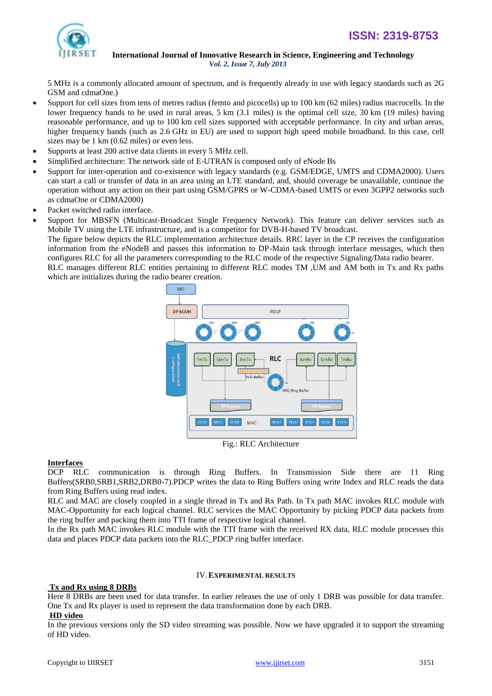

5 MHz is a commonly allocated amount of spectrum, and is frequently already in use with legacy standards such as [2G](http://en.wikipedia.org/wiki/GSM)  [GSM](http://en.wikipedia.org/wiki/GSM) an[d cdmaOne.](http://en.wikipedia.org/wiki/IS-95))

- Support for cell sizes from tens of metres radius [\(femto](http://en.wikipedia.org/wiki/Femtocell) and [picocells\)](http://en.wikipedia.org/wiki/Picocell) up to 100 km (62 miles) radius [macrocells.](http://en.wikipedia.org/wiki/Macrocell) In the lower frequency bands to be used in rural areas, 5 km (3.1 miles) is the optimal cell size, 30 km (19 miles) having reasonable performance, and up to 100 km cell sizes supported with acceptable performance. In city and urban areas, higher frequency bands (such as 2.6 GHz in EU) are used to support high speed mobile broadband. In this case, cell sizes may be 1 km (0.62 miles) or even less.
- Supports at least 200 active data clients in every 5 MHz cell.
- Simplified architecture: The network side of [E-UTRAN](http://en.wikipedia.org/wiki/E-UTRAN) is composed only of [eNode Bs](http://en.wikipedia.org/wiki/ENode_B)
- Support for inter-operation and co-existence with legacy standards (e.g. [GSM](http://en.wikipedia.org/wiki/GSM)[/EDGE,](http://en.wikipedia.org/wiki/Enhanced_Data_Rates_for_GSM_Evolution) [UMTS](http://en.wikipedia.org/wiki/Universal_Mobile_Telecommunications_System) and [CDMA2000\)](http://en.wikipedia.org/wiki/CDMA2000). Users can start a call or transfer of data in an area using an LTE standard, and, should coverage be unavailable, continue the operation without any action on their part using GSM[/GPRS](http://en.wikipedia.org/wiki/GPRS) or W-CDMA-based UMTS or even [3GPP2](http://en.wikipedia.org/wiki/3GPP2) networks such as [cdmaOne](http://en.wikipedia.org/wiki/CdmaOne) or CDMA2000)
- [Packet switched](http://en.wikipedia.org/wiki/Packet_switching) radio interface.
- Support for MBSFN [\(Multicast-Broadcast Single Frequency Network\)](http://en.wikipedia.org/wiki/Multicast-Broadcast_Single_Frequency_Network). This feature can deliver services such as Mobile TV using the LTE infrastructure, and is a competitor for [DVB-H-](http://en.wikipedia.org/wiki/DVB-H)based TV broadcast.

The figure below depicts the RLC implementation architecture details. RRC layer in the CP receives the configuration information from the eNodeB and passes this information to DP-Main task through interface messages, which then configures RLC for all the parameters corresponding to the RLC mode of the respective Signaling/Data radio bearer.

RLC manages different RLC entities pertaining to different RLC modes TM ,UM and AM both in Tx and Rx paths which are initializes during the radio bearer creation.



Fig.: RLC Architecture

## **Interfaces**

DCP RLC communication is through Ring Buffers. In Transmission Side there are 11 Ring Buffers(SRB0,SRB1,SRB2,DRB0-7).PDCP writes the data to Ring Buffers using write Index and RLC reads the data from Ring Buffers using read index.

RLC and MAC are closely coupled in a single thread in Tx and Rx Path. In Tx path MAC invokes RLC module with MAC-Opportunity for each logical channel. RLC services the MAC Opportunity by picking PDCP data packets from the ring buffer and packing them into TTI frame of respective logical channel.

In the Rx path MAC invokes RLC module with the TTI frame with the received RX data, RLC module processes this data and places PDCP data packets into the RLC\_PDCP ring buffer interface.

#### IV.**EXPERIMENTAL RESULTS**

## **Tx and Rx using 8 DRBs**

Here 8 DRBs are been used for data transfer. In earlier releases the use of only 1 DRB was possible for data transfer. One Tx and Rx player is used to represent the data transformation done by each DRB.

## **HD video**

In the previous versions only the SD video streaming was possible. Now we have upgraded it to support the streaming of HD video.